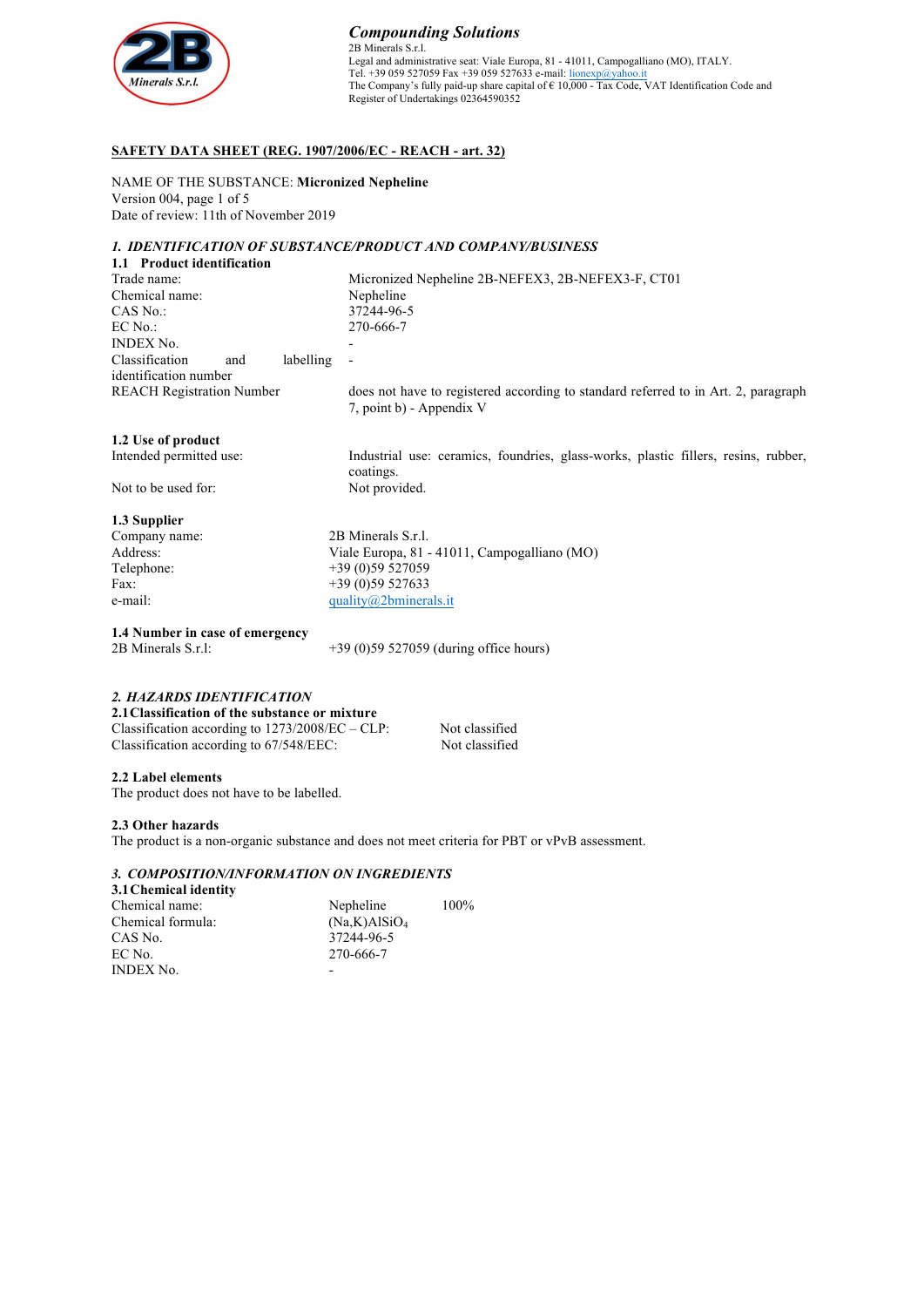

# *Compounding Solutions*

2B Minerals S.r.l. Legal and administrative seat: Viale Europa, 81 - 41011, Campogalliano (MO), ITALY.<br>Tel. +39 059 527059 Fax +39 059 527633 e-mail: <u>lionexp@yahoo.it</u> The Company's fully paid-up share capital of € 10,000 - Tax Code, VAT Identification Code and Register of Undertakings 02364590352

# **SAFETY DATA SHEET (REG. 1907/2006/EC - REACH - art. 32)**

NAME OF THE SUBSTANCE: **Micronized Nepheline** Version 004, page 1 of 5 Date of review: 11th of November 2019

#### *1. IDENTIFICATION OF SUBSTANCE/PRODUCT AND COMPANY/BUSINESS* **1.1 Product identification**

| 1.1 Frounci Richmittation                      |           |                                                                                                                |
|------------------------------------------------|-----------|----------------------------------------------------------------------------------------------------------------|
| Trade name:                                    |           | Micronized Nepheline 2B-NEFEX3, 2B-NEFEX3-F, CT01                                                              |
| Chemical name:                                 |           | Nepheline                                                                                                      |
| CAS No.:                                       |           | 37244-96-5                                                                                                     |
| EC No.:                                        |           | 270-666-7                                                                                                      |
| <b>INDEX No.</b>                               |           |                                                                                                                |
| Classification<br>and<br>identification number | labelling |                                                                                                                |
| <b>REACH Registration Number</b>               |           | does not have to registered according to standard referred to in Art. 2, paragraph<br>7, point b) - Appendix V |
| 1.2 Use of product                             |           |                                                                                                                |
| Intended permitted use:                        |           | Industrial use: ceramics, foundries, glass-works, plastic fillers, resins, rubber,<br>coatings.                |
| Not to be used for:                            |           | Not provided.                                                                                                  |
| 1.3 Supplier                                   |           |                                                                                                                |
| Company name:                                  |           | 2B Minerals S.r.l.                                                                                             |
| Address:                                       |           | Viale Europa, 81 - 41011, Campogalliano (MO)                                                                   |
| Telephone:                                     |           | $+39(0)59527059$                                                                                               |
| Fax:                                           |           | $+39(0)59527633$                                                                                               |

**1.4 Number in case of emergency** 2B Minerals S.r.l: +39 (0)59 527059 (during office hours)

#### *2. HAZARDS IDENTIFICATION*

| 2.1 Classification of the substance or mixture     |                |
|----------------------------------------------------|----------------|
| Classification according to $1273/2008/EC - CLP$ : | Not classified |
| Classification according to 67/548/EEC:            | Not classified |

# **2.2 Label elements**

The product does not have to be labelled.

### **2.3 Other hazards**

The product is a non-organic substance and does not meet criteria for PBT or vPvB assessment.

# *3. COMPOSITION/INFORMATION ON INGREDIENTS*

e-mail:  $\frac{quality(0,2\text{bminerals.it}}{W(1,0,0)}$ 

| 3.1 Chemical identity |                          |      |
|-----------------------|--------------------------|------|
| Chemical name:        | Nepheline                | 100% |
| Chemical formula:     | (Na,K)AISiO <sub>4</sub> |      |
| CAS No.               | 37244-96-5               |      |
| EC No.                | 270-666-7                |      |
| <b>INDEX No.</b>      |                          |      |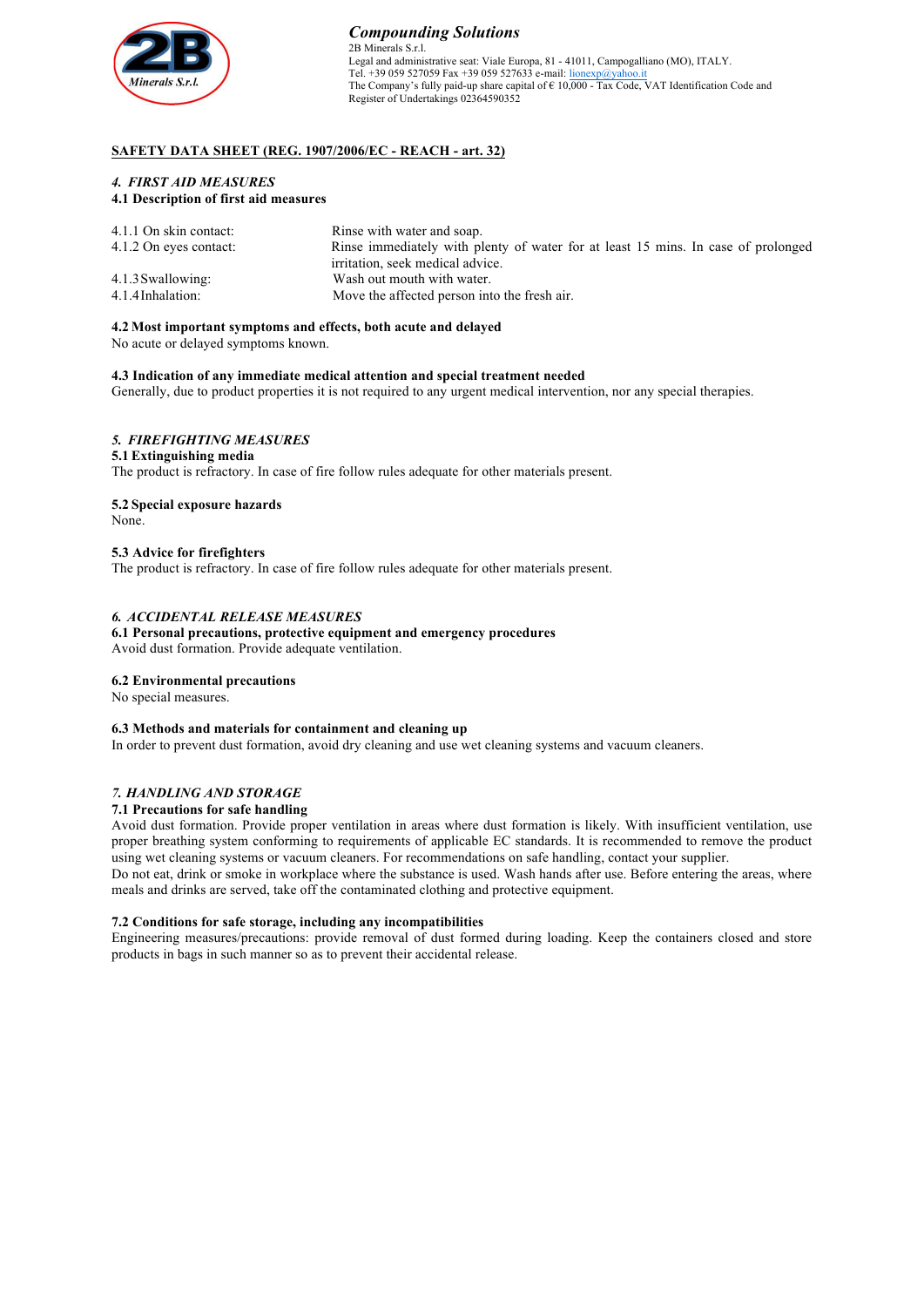

#### *Compounding Solutions* 2B Minerals S.r.l. Legal and administrative seat: Viale Europa, 81 - 41011, Campogalliano (MO), ITALY. Tel. +39 059 527059 Fax +39 059 527633 e-mail: lionexp@yahoo.it The Company's fully paid-up share capital of  $\in 10,000$  - Tax Code, VAT Identification Code and Register of Undertakings 02364590352

# **SAFETY DATA SHEET (REG. 1907/2006/EC - REACH - art. 32)**

## *4. FIRST AID MEASURES* **4.1 Description of first aid measures**

| 4.1.1 On skin contact:<br>4.1.2 On eyes contact: | Rinse with water and soap.<br>Rinse immediately with plenty of water for at least 15 mins. In case of prolonged<br>irritation, seek medical advice. |
|--------------------------------------------------|-----------------------------------------------------------------------------------------------------------------------------------------------------|
| 4.1.3 Swallowing:                                | Wash out mouth with water.                                                                                                                          |
| 4.1.4 Inhalation:                                | Move the affected person into the fresh air.                                                                                                        |

#### **4.2 Most important symptoms and effects, both acute and delayed**

No acute or delayed symptoms known.

### **4.3 Indication of any immediate medical attention and special treatment needed**

Generally, due to product properties it is not required to any urgent medical intervention, nor any special therapies.

# *5. FIREFIGHTING MEASURES*

#### **5.1 Extinguishing media** The product is refractory. In case of fire follow rules adequate for other materials present.

**5.2 Special exposure hazards**

None.

### **5.3 Advice for firefighters**

The product is refractory. In case of fire follow rules adequate for other materials present.

#### *6. ACCIDENTAL RELEASE MEASURES*

**6.1 Personal precautions, protective equipment and emergency procedures** Avoid dust formation. Provide adequate ventilation.

## **6.2 Environmental precautions**

No special measures.

#### **6.3 Methods and materials for containment and cleaning up**

In order to prevent dust formation, avoid dry cleaning and use wet cleaning systems and vacuum cleaners.

### *7. HANDLING AND STORAGE*

### **7.1 Precautions for safe handling**

Avoid dust formation. Provide proper ventilation in areas where dust formation is likely. With insufficient ventilation, use proper breathing system conforming to requirements of applicable EC standards. It is recommended to remove the product using wet cleaning systems or vacuum cleaners. For recommendations on safe handling, contact your supplier.

Do not eat, drink or smoke in workplace where the substance is used. Wash hands after use. Before entering the areas, where meals and drinks are served, take off the contaminated clothing and protective equipment.

#### **7.2 Conditions for safe storage, including any incompatibilities**

Engineering measures/precautions: provide removal of dust formed during loading. Keep the containers closed and store products in bags in such manner so as to prevent their accidental release.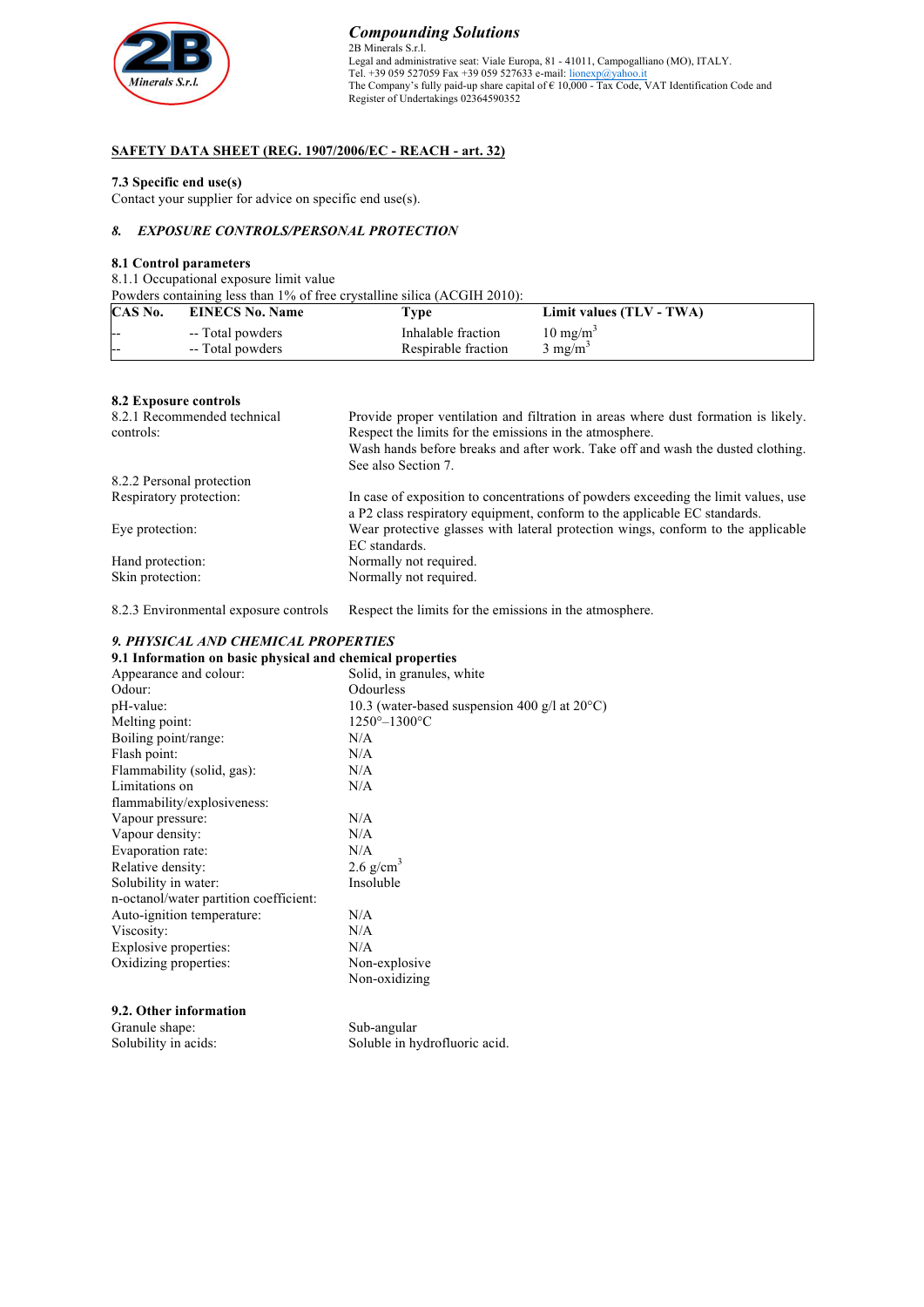

# *Compounding Solutions* 2B Minerals S.r.l. Legal and administrative seat: Viale Europa, 81 - 41011, Campogalliano (MO), ITALY.<br>Tel. +39 059 527059 Fax +39 059 527633 e-mail: <u>lionexp@yahoo.it</u> The Company's fully paid-up share capital of € 10,000 - Tax Code, VAT Identification Code and Register of Undertakings 02364590352

# **SAFETY DATA SHEET (REG. 1907/2006/EC - REACH - art. 32)**

#### **7.3 Specific end use(s)**

Contact your supplier for advice on specific end use(s).

# *8. EXPOSURE CONTROLS/PERSONAL PROTECTION*

# **8.1 Control parameters**

8.1.1 Occupational exposure limit value

Powders containing less than 1% of free crystalline silica (ACGIH 2010):

| CAS No. | <b>EINECS No. Name</b> | Type                | Limit values (TLV - TWA) |
|---------|------------------------|---------------------|--------------------------|
| --      | -- Total powders       | Inhalable fraction  | $10 \text{ mg/m}^3$      |
| ---     | -- Total powders       | Respirable fraction | $3 \text{ mg/m}^3$       |

#### **8.2 Exposure controls**

| 8.2.1 Recommended technical | Provide proper ventilation and filtration in areas where dust formation is likely. |
|-----------------------------|------------------------------------------------------------------------------------|
| controls:                   | Respect the limits for the emissions in the atmosphere.                            |
|                             | Wash hands before breaks and after work. Take off and wash the dusted clothing.    |
|                             | See also Section 7.                                                                |
| 8.2.2 Personal protection   |                                                                                    |
| Respiratory protection:     | In case of exposition to concentrations of powders exceeding the limit values, use |
|                             | a P2 class respiratory equipment, conform to the applicable EC standards.          |
| Eye protection:             | Wear protective glasses with lateral protection wings, conform to the applicable   |
|                             | EC standards.                                                                      |
| Hand protection:            | Normally not required.                                                             |
| Skin protection:            | Normally not required.                                                             |

8.2.3 Environmental exposure controls Respect the limits for the emissions in the atmosphere.

## *9. PHYSICAL AND CHEMICAL PROPERTIES*

#### **9.1 Information on basic physical and chemical properties**

| Appearance and colour:                 | Solid, in granules, white                               |
|----------------------------------------|---------------------------------------------------------|
| Odour:                                 | Odourless                                               |
| pH-value:                              | 10.3 (water-based suspension 400 g/l at $20^{\circ}$ C) |
| Melting point:                         | $1250^{\circ}-1300^{\circ}$ C                           |
| Boiling point/range:                   | N/A                                                     |
| Flash point:                           | N/A                                                     |
| Flammability (solid, gas):             | N/A                                                     |
| Limitations on                         | N/A                                                     |
| flammability/explosiveness:            |                                                         |
| Vapour pressure:                       | N/A                                                     |
| Vapour density:                        | N/A                                                     |
| Evaporation rate:                      | N/A                                                     |
| Relative density:                      | $2.6$ g/cm <sup>3</sup>                                 |
| Solubility in water:                   | Insoluble                                               |
| n-octanol/water partition coefficient: |                                                         |
| Auto-ignition temperature:             | N/A                                                     |
| Viscosity:                             | N/A                                                     |
| Explosive properties:                  | N/A                                                     |
| Oxidizing properties:                  | Non-explosive                                           |
|                                        | Non-oxidizing                                           |
|                                        |                                                         |

| 9.2. Other information |          |
|------------------------|----------|
| Granule shape:         | Sub-angu |
| .                      | .        |

Solubility in acids:

ular Soluble in hydrofluoric acid.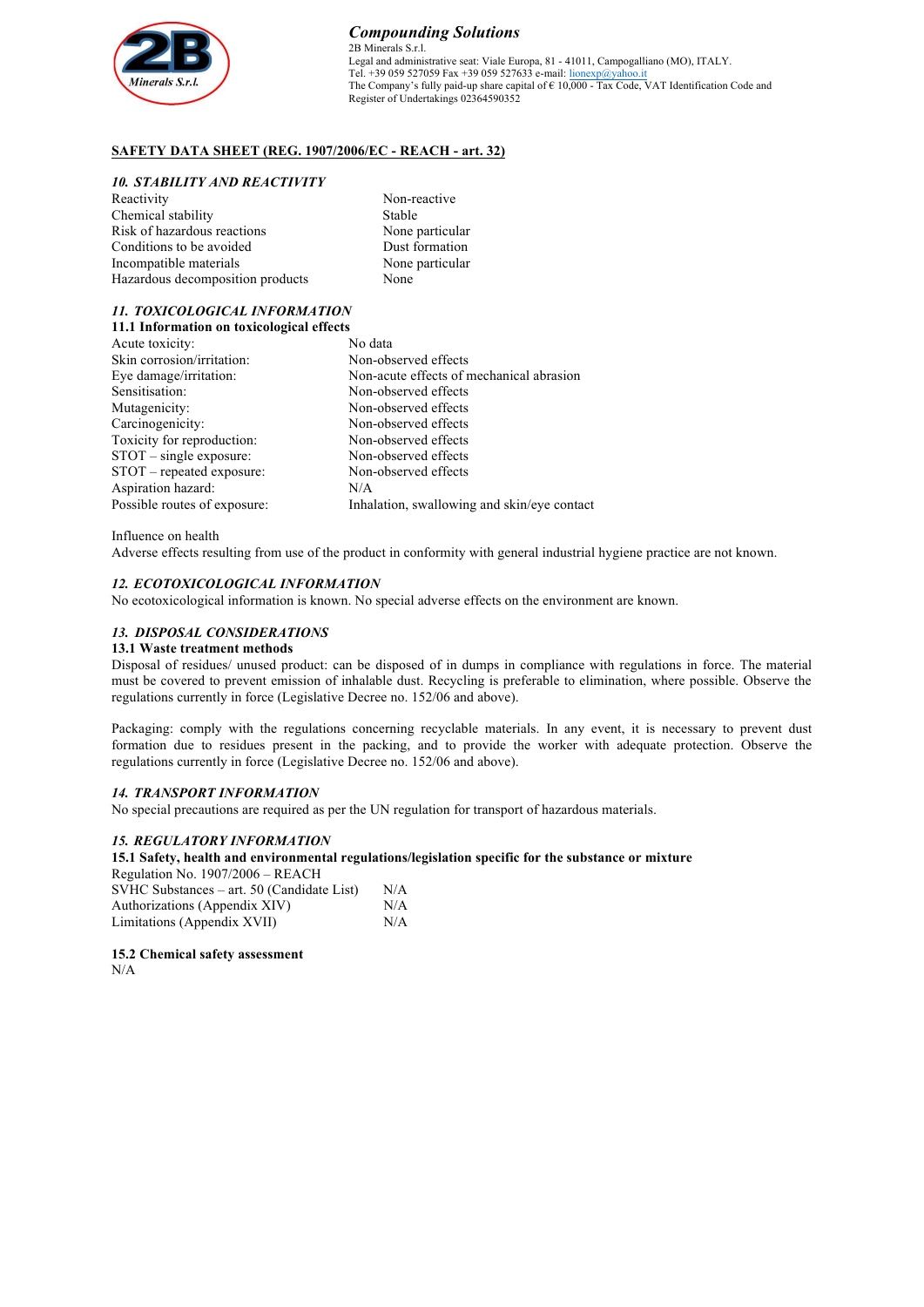

# **SAFETY DATA SHEET (REG. 1907/2006/EC - REACH - art. 32)**

#### *10. STABILITY AND REACTIVITY*

| Reactivity                       | Non-reactive    |
|----------------------------------|-----------------|
| Chemical stability               | Stable          |
| Risk of hazardous reactions      | None particular |
| Conditions to be avoided         | Dust formation  |
| Incompatible materials           | None particular |
| Hazardous decomposition products | None            |
|                                  |                 |

#### *11. TOXICOLOGICAL INFORMATION* **11.1 Information on toxicological effects**

| <b>II.I Information on toxicological effects</b> |                                             |
|--------------------------------------------------|---------------------------------------------|
| Acute toxicity:                                  | No data                                     |
| Skin corrosion/irritation:                       | Non-observed effects                        |
| Eye damage/irritation:                           | Non-acute effects of mechanical abrasion    |
| Sensitisation:                                   | Non-observed effects                        |
| Mutagenicity:                                    | Non-observed effects                        |
| Carcinogenicity:                                 | Non-observed effects                        |
| Toxicity for reproduction:                       | Non-observed effects                        |
| $STOT$ – single exposure:                        | Non-observed effects                        |
| STOT - repeated exposure:                        | Non-observed effects                        |
| Aspiration hazard:                               | N/A                                         |
| Possible routes of exposure:                     | Inhalation, swallowing and skin/eye contact |
|                                                  |                                             |

Influence on health

Adverse effects resulting from use of the product in conformity with general industrial hygiene practice are not known.

### *12. ECOTOXICOLOGICAL INFORMATION*

No ecotoxicological information is known. No special adverse effects on the environment are known.

## *13. DISPOSAL CONSIDERATIONS*

#### **13.1 Waste treatment methods**

Disposal of residues/ unused product: can be disposed of in dumps in compliance with regulations in force. The material must be covered to prevent emission of inhalable dust. Recycling is preferable to elimination, where possible. Observe the regulations currently in force (Legislative Decree no. 152/06 and above).

Packaging: comply with the regulations concerning recyclable materials. In any event, it is necessary to prevent dust formation due to residues present in the packing, and to provide the worker with adequate protection. Observe the regulations currently in force (Legislative Decree no. 152/06 and above).

## *14. TRANSPORT INFORMATION*

No special precautions are required as per the UN regulation for transport of hazardous materials.

### *15. REGULATORY INFORMATION*

#### **15.1 Safety, health and environmental regulations/legislation specific for the substance or mixture**

| Regulation No. 1907/2006 – REACH           |     |
|--------------------------------------------|-----|
| SVHC Substances – art. 50 (Candidate List) | N/A |
| Authorizations (Appendix XIV)              | N/A |
| Limitations (Appendix XVII)                | N/A |

**15.2 Chemical safety assessment** N/A